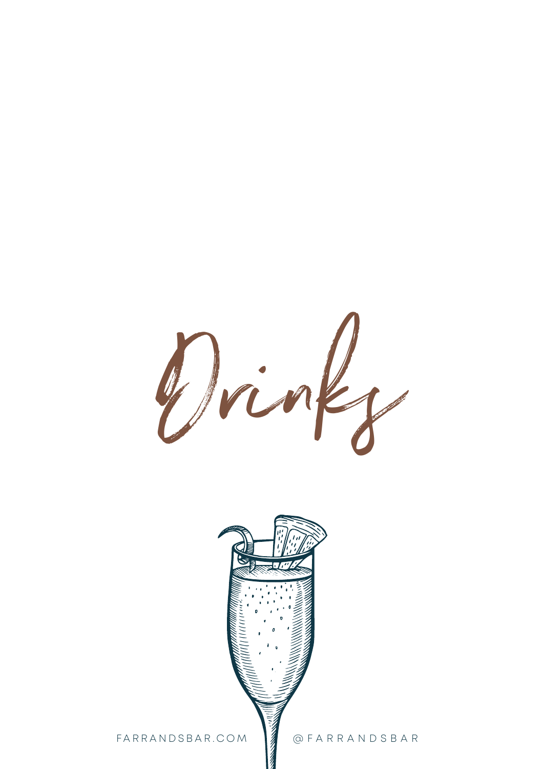

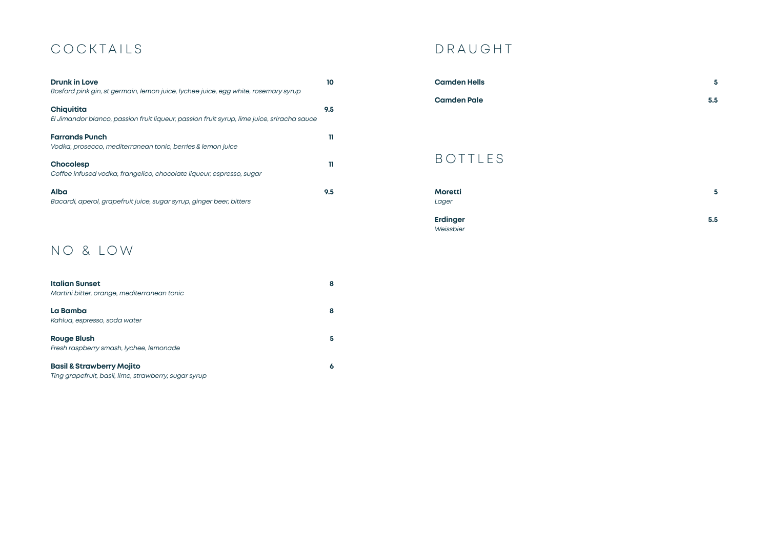# COCKTAILS

| <b>Drunk in Love</b><br>Bosford pink gin, st germain, lemon juice, lychee juice, egg white, rosemary syrup | 10  |
|------------------------------------------------------------------------------------------------------------|-----|
| Chiquitita<br>El Jimandor blanco, passion fruit liqueur, passion fruit syrup, lime juice, sriracha sauce   | 9.5 |
| <b>Farrands Punch</b><br>Vodka, prosecco, mediterranean tonic, berries & lemon juice                       | 11  |
| <b>Chocolesp</b><br>Coffee infused vodka, frangelico, chocolate liqueur, espresso, sugar                   | 11  |
| <b>Alba</b><br>Bacardi, aperol, grapefruit juice, sugar syrup, ginger beer, bitters                        | 9.5 |

## NO & LOW

| <b>Italian Sunset</b><br>Martini bitter, orange, mediterranean tonic                          | 8 |
|-----------------------------------------------------------------------------------------------|---|
| La Bamba<br>Kahlua, espresso, soda water                                                      | 8 |
| <b>Rouge Blush</b><br>Fresh raspberry smash, lychee, lemonade                                 |   |
| <b>Basil &amp; Strawberry Mojito</b><br>Ting grapefruit, basil, lime, strawberry, sugar syrup | 6 |

## DRAUGHT

| <b>Camden Hells</b> | ь   |
|---------------------|-----|
| <b>Camden Pale</b>  | 5.5 |

# BOTTLES

| <b>Moretti</b>  | 5   |
|-----------------|-----|
| Lager           |     |
| <b>Erdinger</b> | 5.5 |
| Weissbier       |     |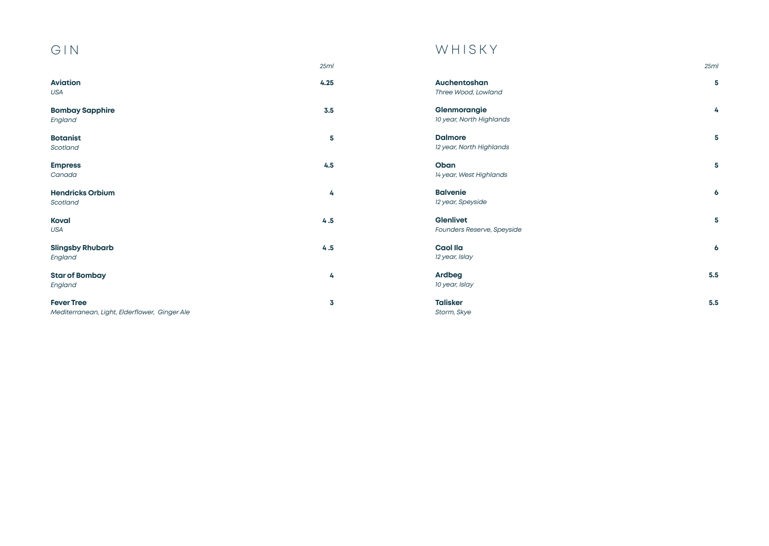# GIN

| <b>Aviation</b><br><b>USA</b>                                      | 4.25 |
|--------------------------------------------------------------------|------|
| <b>Bombay Sapphire</b><br>England                                  | 3.5  |
| <b>Botanist</b><br>Scotland                                        | 5    |
| <b>Empress</b><br>Canada                                           | 4.5  |
| <b>Hendricks Orbium</b><br>Scotland                                | 4    |
| <b>Koval</b><br><b>USA</b>                                         | 4.5  |
| <b>Slingsby Rhubarb</b><br>England                                 | 4.5  |
| <b>Star of Bombay</b><br>England                                   | 4    |
| <b>Fever Tree</b><br>Mediterranean, Light, Elderflower, Ginger Ale | 3    |

## WHISKY

| 25mI |                                            | 25ml |
|------|--------------------------------------------|------|
| 4.25 | Auchentoshan<br>Three Wood, Lowland        | 5    |
| 3.5  | Glenmorangie<br>10 year, North Highlands   | 4    |
| 5    | <b>Dalmore</b><br>12 year, North Highlands | 5    |
| 4.5  | Oban<br>14 year, West Highlands            | 5    |
| 4    | <b>Balvenie</b><br>12 year, Speyside       | 6    |
| 4.5  | Glenlivet<br>Founders Reserve, Speyside    | 5    |
| 4.5  | <b>Caol Ila</b><br>12 year, Islay          | 6    |
| 4    | <b>Ardbeg</b><br>10 year, Islay            | 5.5  |
| 3    | <b>Talisker</b>                            | 5.5  |

*Storm, Skye*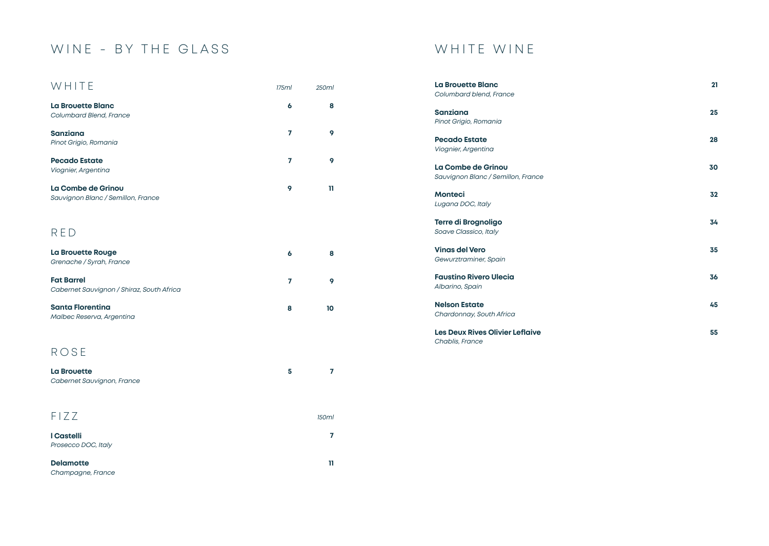## WINE - BY THE GLASS

| WHITE                                                          | 175ml        | 250ml |  |
|----------------------------------------------------------------|--------------|-------|--|
| La Brouette Blanc<br>Columbard Blend, France                   | $\mathbf{6}$ | 8     |  |
| <b>Sanziana</b><br>Pinot Grigio, Romania                       | 7            | 9     |  |
| <b>Pecado Estate</b><br>Viognier, Argentina                    | 7            | 9     |  |
| La Combe de Grinou<br>Sauvignon Blanc / Semillon, France       | 9            | 11    |  |
| RED                                                            |              |       |  |
| La Brouette Rouge<br>Grenache / Syrah, France                  | 6            | 8     |  |
| <b>Fat Barrel</b><br>Cabernet Sauvignon / Shiraz, South Africa | 7            | 9     |  |
| <b>Santa Florentina</b><br>Malbec Reserva, Argentina           | 8            | 10    |  |
| ROSE                                                           |              |       |  |
| La Brouette                                                    | 5            | 7     |  |

10<br>7<br>7  $5<sup>1</sup>$  $\overline{7}$ **La Brouette**  *Cabernet Sauvignon, France* FIZZ *150ml* **l Castelli**   $\overline{7}$ *Prosecco DOC, Italy* **Delamotte 11**

#### *Champagne, France*

### WHITE WINE

| La Brouette Blanc<br>Columbard blend, France             | 21 |
|----------------------------------------------------------|----|
| <b>Sanziana</b><br>Pinot Grigio, Romania                 | 25 |
| <b>Pecado Estate</b><br>Viognier, Argentina              | 28 |
| La Combe de Grinou<br>Sauvignon Blanc / Semillon, France | 30 |
| <b>Monteci</b><br>Lugana DOC, Italy                      | 32 |
| <b>Terre di Brognoligo</b><br>Soave Classico, Italy      | 34 |
| <b>Vinas del Vero</b><br>Gewurztraminer, Spain           | 35 |
| <b>Faustino Rivero Ulecia</b><br>Albarino, Spain         | 36 |
| <b>Nelson Estate</b><br>Chardonnay, South Africa         | 45 |
| <b>Les Deux Rives Olivier Leflaive</b>                   | 55 |

*Chablis, France*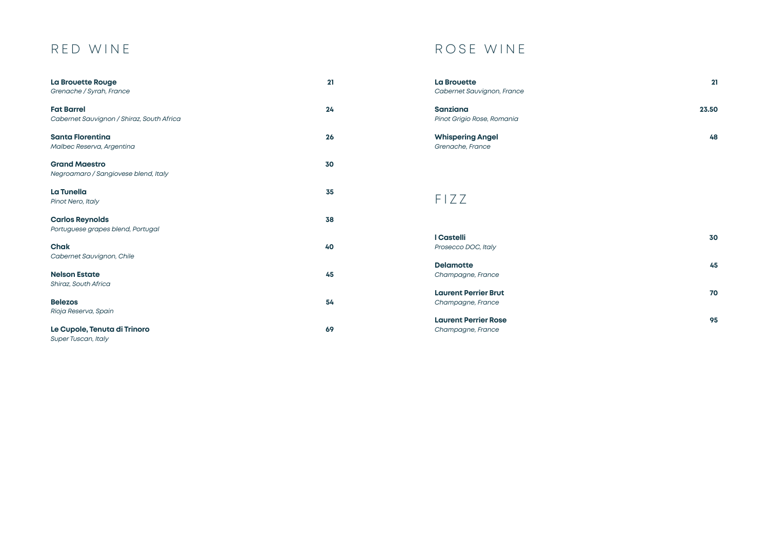### RED WINE

| La Brouette Rouge<br>Grenache / Syrah, France                  | 21 |
|----------------------------------------------------------------|----|
| <b>Fat Barrel</b><br>Cabernet Sauvignon / Shiraz, South Africa | 24 |
| <b>Santa Florentina</b><br>Malbec Reserva, Argentina           | 26 |
| <b>Grand Maestro</b><br>Negroamaro / Sangiovese blend, Italy   | 30 |
| La Tunella<br>Pinot Nero, Italy                                | 35 |
| <b>Carlos Reynolds</b><br>Portuguese grapes blend, Portugal    | 38 |
| Chak<br>Cabernet Sauvignon, Chile                              | 40 |
| <b>Nelson Estate</b><br>Shiraz, South Africa                   | 45 |
| <b>Belezos</b><br>Rioja Reserva, Spain                         | 54 |
| Le Cupole, Tenuta di Trinoro<br><b>Super Tuscan, Italy</b>     | 69 |

### ROSE WINE

| La Brouette<br>Cabernet Sauvignon, France     | 21    |
|-----------------------------------------------|-------|
| <b>Sanziana</b><br>Pinot Grigio Rose, Romania | 23.50 |
| <b>Whispering Angel</b><br>Grenache, France   | 48    |
|                                               |       |
| FIZZ                                          |       |
|                                               |       |
| I Castelli<br>Prosecco DOC, Italy             | 30    |
| <b>Delamotte</b><br>Champagne, France         | 45    |

**Laurent Perrier Brut 70** *Champagne, France*

| <b>Laurent Perrier Rose</b> |  |
|-----------------------------|--|
| Champagne, France           |  |